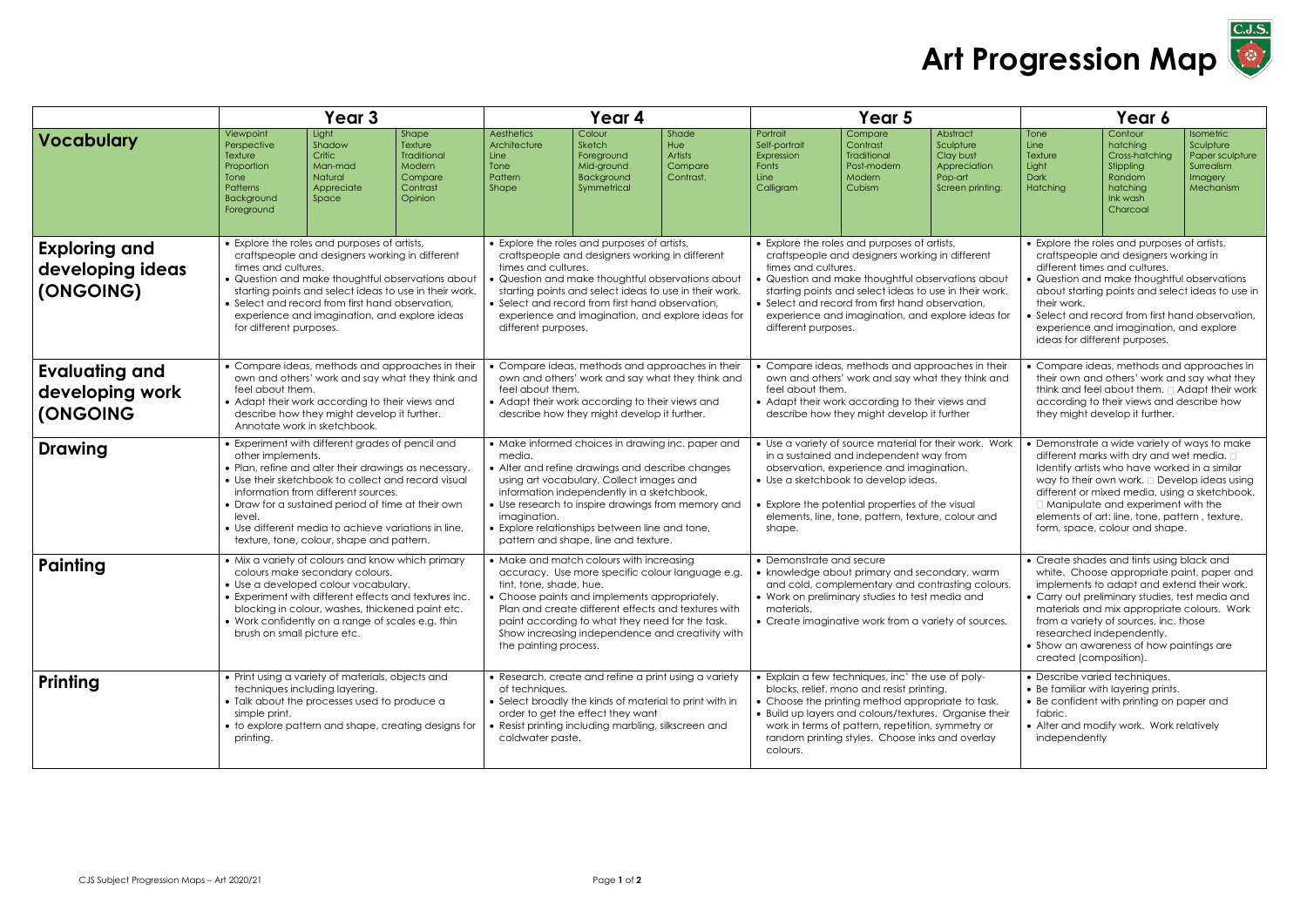|                                                             | Year 3                                                                                                                                                                                                                                                                                                                                                                                            |                                                                        |                                                                             | Year 4                                                                                                                                                                                                                                                                                                                                                                    |                                                                           |                                                 | Year 5                                                                                                                                                                                                                                                                                                                                                                |                                                                              |                                                                                                                                                                                                                                 | Year 6                                                                                                                                                                                                                                                                                                                                                                              |                                                                                                  |                                                                                        |
|-------------------------------------------------------------|---------------------------------------------------------------------------------------------------------------------------------------------------------------------------------------------------------------------------------------------------------------------------------------------------------------------------------------------------------------------------------------------------|------------------------------------------------------------------------|-----------------------------------------------------------------------------|---------------------------------------------------------------------------------------------------------------------------------------------------------------------------------------------------------------------------------------------------------------------------------------------------------------------------------------------------------------------------|---------------------------------------------------------------------------|-------------------------------------------------|-----------------------------------------------------------------------------------------------------------------------------------------------------------------------------------------------------------------------------------------------------------------------------------------------------------------------------------------------------------------------|------------------------------------------------------------------------------|---------------------------------------------------------------------------------------------------------------------------------------------------------------------------------------------------------------------------------|-------------------------------------------------------------------------------------------------------------------------------------------------------------------------------------------------------------------------------------------------------------------------------------------------------------------------------------------------------------------------------------|--------------------------------------------------------------------------------------------------|----------------------------------------------------------------------------------------|
| <b>Vocabulary</b>                                           | Viewpoint<br>Perspective<br>Texture<br>Proportion<br>Tone<br><b>Patterns</b><br>Background<br>Foreground                                                                                                                                                                                                                                                                                          | Light<br>Shadow<br>Critic<br>Man-mad<br>Natural<br>Appreciate<br>Space | Shape<br>Texture<br>Traditional<br>Modern<br>Compare<br>Contrast<br>Opinion | Aesthetics<br>Architecture<br>Line<br>Tone<br>Pattern<br><b>Shape</b>                                                                                                                                                                                                                                                                                                     | Colour<br>Sketch<br>Foreground<br>Mid-ground<br>Background<br>Symmetrical | Shade<br>Hue<br>Artists<br>Compare<br>Contrast. | Portrait<br>Self-portrait<br>Expression<br>Fonts<br>Line<br>Calligram                                                                                                                                                                                                                                                                                                 | Compare<br>Contrast<br><b>Traditional</b><br>Post-modern<br>Modern<br>Cubism | Abstract<br>Sculpture<br>Clay bust<br>Appreciation<br>Pop-art<br>Screen printing.                                                                                                                                               | Tone<br>Line<br>Texture<br>Light<br><b>Dark</b><br>Hatching                                                                                                                                                                                                                                                                                                                         | Contour<br>hatching<br>Cross-hatching<br>Stippling<br>Random<br>hatching<br>Ink wash<br>Charcoal | <b>Isometric</b><br>Sculpture<br>Paper sculpture<br>Surrealism<br>Imagery<br>Mechanism |
| <b>Exploring and</b><br>developing ideas<br>(ONGOING)       | • Explore the roles and purposes of artists,<br>craftspeople and designers working in different<br>times and cultures.<br>• Question and make thoughtful observations about<br>starting points and select ideas to use in their work.<br>• Select and record from first hand observation,<br>experience and imagination, and explore ideas<br>for different purposes.                             |                                                                        |                                                                             | • Explore the roles and purposes of artists,<br>craftspeople and designers working in different<br>times and cultures.<br>• Question and make thoughtful observations about<br>starting points and select ideas to use in their work.<br>• Select and record from first hand observation,<br>experience and imagination, and explore ideas for<br>different purposes.     |                                                                           |                                                 | • Explore the roles and purposes of artists,<br>craftspeople and designers working in different<br>times and cultures.<br>• Question and make thoughtful observations about<br>starting points and select ideas to use in their work.<br>• Select and record from first hand observation,<br>experience and imagination, and explore ideas for<br>different purposes. |                                                                              |                                                                                                                                                                                                                                 | • Explore the roles and purposes of artists,<br>craftspeople and designers working in<br>different times and cultures.<br>Question and make thoughtful observations<br>about starting points and select ideas to use in<br>their work.<br>Select and record from first hand observation,<br>experience and imagination, and explore<br>ideas for different purposes.                |                                                                                                  |                                                                                        |
| <b>Evaluating and</b><br>developing work<br><b>(ONGOING</b> | • Compare ideas, methods and approaches in their<br>own and others' work and say what they think and<br>feel about them.<br>• Adapt their work according to their views and<br>describe how they might develop it further.<br>Annotate work in sketchbook.                                                                                                                                        |                                                                        |                                                                             | • Compare ideas, methods and approaches in their<br>own and others' work and say what they think and<br>feel about them.<br>• Adapt their work according to their views and<br>describe how they might develop it further.                                                                                                                                                |                                                                           |                                                 | • Compare ideas, methods and approaches in their<br>own and others' work and say what they think and<br>feel about them.<br>• Adapt their work according to their views and<br>describe how they might develop it further                                                                                                                                             |                                                                              | • Compare ideas, methods and approaches in<br>their own and others' work and say what they<br>think and feel about them. $\Box$ Adapt their work<br>according to their views and describe how<br>they might develop it further. |                                                                                                                                                                                                                                                                                                                                                                                     |                                                                                                  |                                                                                        |
| <b>Drawing</b>                                              | • Experiment with different grades of pencil and<br>other implements.<br>• Plan, refine and alter their drawings as necessary.<br>• Use their sketchbook to collect and record visual<br>information from different sources.<br>• Draw for a sustained period of time at their own<br>level.<br>• Use different media to achieve variations in line,<br>texture, tone, colour, shape and pattern. |                                                                        |                                                                             | • Make informed choices in drawing inc. paper and<br>media.<br>• Alter and refine drawings and describe changes<br>using art vocabulary. Collect images and<br>information independently in a sketchbook.<br>• Use research to inspire drawings from memory and<br>imagination.<br>• Explore relationships between line and tone,<br>pattern and shape, line and texture. |                                                                           |                                                 | • Use a variety of source material for their work. Work<br>in a sustained and independent way from<br>observation, experience and imagination.<br>• Use a sketchbook to develop ideas.<br>• Explore the potential properties of the visual<br>elements, line, tone, pattern, texture, colour and<br>shape.                                                            |                                                                              |                                                                                                                                                                                                                                 | Demonstrate a wide variety of ways to make<br>different marks with dry and wet media. [<br>Identify artists who have worked in a similar<br>way to their own work. I Develop ideas using<br>different or mixed media, using a sketchbook.<br>□ Manipulate and experiment with the<br>elements of art: line, tone, pattern, texture,<br>form, space, colour and shape.               |                                                                                                  |                                                                                        |
| Painting                                                    | • Mix a variety of colours and know which primary<br>colours make secondary colours.<br>• Use a developed colour vocabulary.<br>• Experiment with different effects and textures inc.<br>blocking in colour, washes, thickened paint etc.<br>• Work confidently on a range of scales e.g. thin<br>brush on small picture etc.                                                                     |                                                                        |                                                                             | • Make and match colours with increasing<br>accuracy. Use more specific colour language e.g.<br>tint, tone, shade, hue.<br>• Choose paints and implements appropriately.<br>Plan and create different effects and textures with<br>paint according to what they need for the task.<br>Show increasing independence and creativity with<br>the painting process.           |                                                                           |                                                 | • Demonstrate and secure<br>• knowledge about primary and secondary, warm<br>and cold, complementary and contrasting colours.<br>• Work on preliminary studies to test media and<br>materials.<br>• Create imaginative work from a variety of sources.                                                                                                                |                                                                              |                                                                                                                                                                                                                                 | • Create shades and tints using black and<br>white. Choose appropriate paint, paper and<br>implements to adapt and extend their work.<br>• Carry out preliminary studies, test media and<br>materials and mix appropriate colours. Work<br>from a variety of sources, inc. those<br>researched independently.<br>• Show an awareness of how paintings are<br>created (composition). |                                                                                                  |                                                                                        |
| <b>Printing</b>                                             | • Print using a variety of materials, objects and<br>techniques including layering.<br>• Talk about the processes used to produce a<br>simple print.<br>• to explore pattern and shape, creating designs for<br>printing.                                                                                                                                                                         |                                                                        |                                                                             | • Research, create and refine a print using a variety<br>of techniques.<br>• Select broadly the kinds of material to print with in<br>order to get the effect they want<br>• Resist printing including marbling, silkscreen and<br>coldwater paste.                                                                                                                       |                                                                           |                                                 | • Explain a few techniques, inc' the use of poly-<br>blocks, relief, mono and resist printing.<br>• Choose the printing method appropriate to task.<br>• Build up layers and colours/textures. Organise their<br>work in terms of pattern, repetition, symmetry or<br>random printing styles. Choose inks and overlay<br>colours.                                     |                                                                              |                                                                                                                                                                                                                                 | • Describe varied techniques.<br>• Be familiar with layering prints.<br>• Be confident with printing on paper and<br>fabric.<br>• Alter and modify work. Work relatively<br>independently                                                                                                                                                                                           |                                                                                                  |                                                                                        |

## Art Progression Map